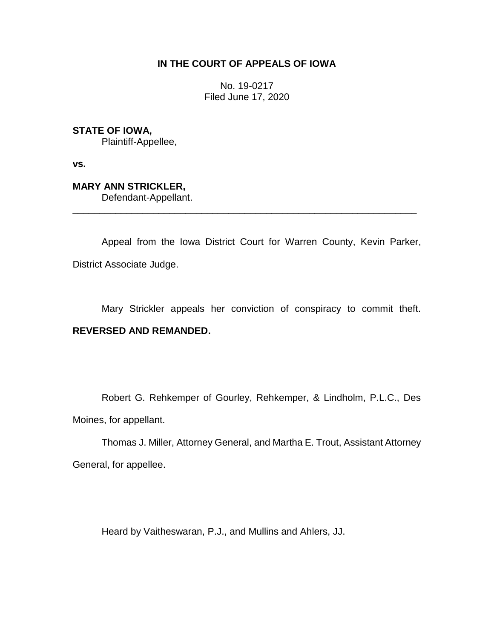# **IN THE COURT OF APPEALS OF IOWA**

No. 19-0217 Filed June 17, 2020

**STATE OF IOWA,**

Plaintiff-Appellee,

**vs.**

**MARY ANN STRICKLER,** Defendant-Appellant.

Appeal from the Iowa District Court for Warren County, Kevin Parker, District Associate Judge.

\_\_\_\_\_\_\_\_\_\_\_\_\_\_\_\_\_\_\_\_\_\_\_\_\_\_\_\_\_\_\_\_\_\_\_\_\_\_\_\_\_\_\_\_\_\_\_\_\_\_\_\_\_\_\_\_\_\_\_\_\_\_\_\_

Mary Strickler appeals her conviction of conspiracy to commit theft. **REVERSED AND REMANDED.**

Robert G. Rehkemper of Gourley, Rehkemper, & Lindholm, P.L.C., Des Moines, for appellant.

Thomas J. Miller, Attorney General, and Martha E. Trout, Assistant Attorney General, for appellee.

Heard by Vaitheswaran, P.J., and Mullins and Ahlers, JJ.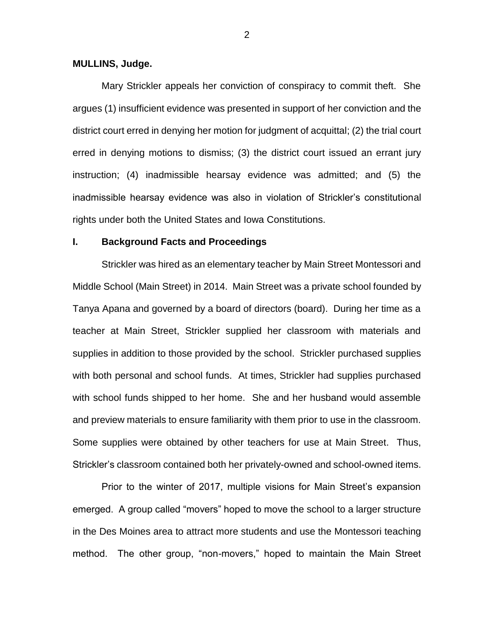#### **MULLINS, Judge.**

Mary Strickler appeals her conviction of conspiracy to commit theft. She argues (1) insufficient evidence was presented in support of her conviction and the district court erred in denying her motion for judgment of acquittal; (2) the trial court erred in denying motions to dismiss; (3) the district court issued an errant jury instruction; (4) inadmissible hearsay evidence was admitted; and (5) the inadmissible hearsay evidence was also in violation of Strickler's constitutional rights under both the United States and Iowa Constitutions.

#### **I. Background Facts and Proceedings**

Strickler was hired as an elementary teacher by Main Street Montessori and Middle School (Main Street) in 2014. Main Street was a private school founded by Tanya Apana and governed by a board of directors (board). During her time as a teacher at Main Street, Strickler supplied her classroom with materials and supplies in addition to those provided by the school. Strickler purchased supplies with both personal and school funds. At times, Strickler had supplies purchased with school funds shipped to her home. She and her husband would assemble and preview materials to ensure familiarity with them prior to use in the classroom. Some supplies were obtained by other teachers for use at Main Street. Thus, Strickler's classroom contained both her privately-owned and school-owned items.

Prior to the winter of 2017, multiple visions for Main Street's expansion emerged. A group called "movers" hoped to move the school to a larger structure in the Des Moines area to attract more students and use the Montessori teaching method. The other group, "non-movers," hoped to maintain the Main Street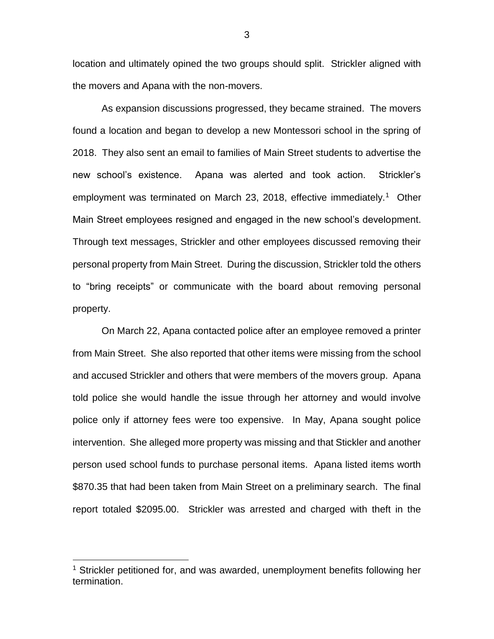location and ultimately opined the two groups should split. Strickler aligned with the movers and Apana with the non-movers.

As expansion discussions progressed, they became strained. The movers found a location and began to develop a new Montessori school in the spring of 2018. They also sent an email to families of Main Street students to advertise the new school's existence. Apana was alerted and took action. Strickler's employment was terminated on March 23, 2018, effective immediately.<sup>1</sup> Other Main Street employees resigned and engaged in the new school's development. Through text messages, Strickler and other employees discussed removing their personal property from Main Street. During the discussion, Strickler told the others to "bring receipts" or communicate with the board about removing personal property.

On March 22, Apana contacted police after an employee removed a printer from Main Street. She also reported that other items were missing from the school and accused Strickler and others that were members of the movers group. Apana told police she would handle the issue through her attorney and would involve police only if attorney fees were too expensive. In May, Apana sought police intervention. She alleged more property was missing and that Stickler and another person used school funds to purchase personal items. Apana listed items worth \$870.35 that had been taken from Main Street on a preliminary search. The final report totaled \$2095.00. Strickler was arrested and charged with theft in the

 $\overline{a}$ 

<sup>&</sup>lt;sup>1</sup> Strickler petitioned for, and was awarded, unemployment benefits following her termination.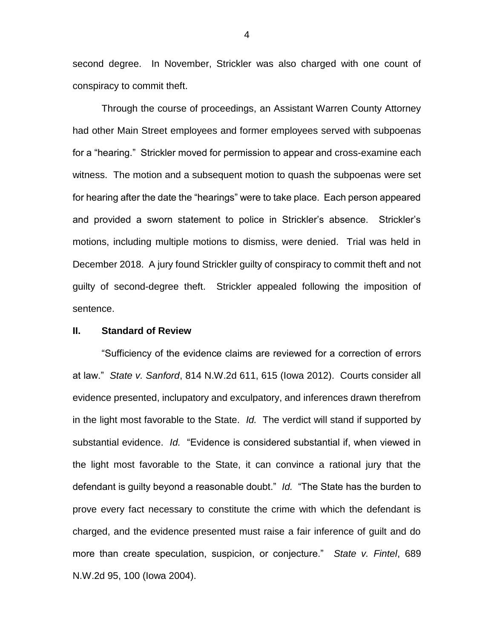second degree. In November, Strickler was also charged with one count of conspiracy to commit theft.

Through the course of proceedings, an Assistant Warren County Attorney had other Main Street employees and former employees served with subpoenas for a "hearing." Strickler moved for permission to appear and cross-examine each witness. The motion and a subsequent motion to quash the subpoenas were set for hearing after the date the "hearings" were to take place. Each person appeared and provided a sworn statement to police in Strickler's absence. Strickler's motions, including multiple motions to dismiss, were denied. Trial was held in December 2018. A jury found Strickler guilty of conspiracy to commit theft and not guilty of second-degree theft. Strickler appealed following the imposition of sentence.

#### **II. Standard of Review**

"Sufficiency of the evidence claims are reviewed for a correction of errors at law." *State v. Sanford*, 814 N.W.2d 611, 615 (Iowa 2012). Courts consider all evidence presented, inclupatory and exculpatory, and inferences drawn therefrom in the light most favorable to the State. *Id.* The verdict will stand if supported by substantial evidence. *Id.* "Evidence is considered substantial if, when viewed in the light most favorable to the State, it can convince a rational jury that the defendant is guilty beyond a reasonable doubt." *Id.* "The State has the burden to prove every fact necessary to constitute the crime with which the defendant is charged, and the evidence presented must raise a fair inference of guilt and do more than create speculation, suspicion, or conjecture." *State v. Fintel*, 689 N.W.2d 95, 100 (Iowa 2004).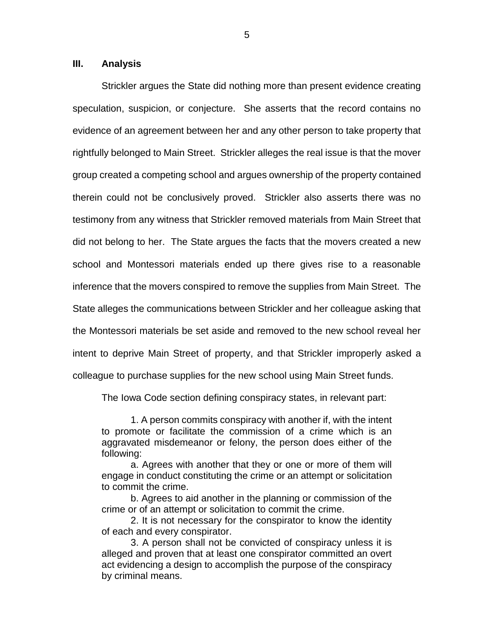### **III. Analysis**

Strickler argues the State did nothing more than present evidence creating speculation, suspicion, or conjecture. She asserts that the record contains no evidence of an agreement between her and any other person to take property that rightfully belonged to Main Street. Strickler alleges the real issue is that the mover group created a competing school and argues ownership of the property contained therein could not be conclusively proved. Strickler also asserts there was no testimony from any witness that Strickler removed materials from Main Street that did not belong to her. The State argues the facts that the movers created a new school and Montessori materials ended up there gives rise to a reasonable inference that the movers conspired to remove the supplies from Main Street. The State alleges the communications between Strickler and her colleague asking that the Montessori materials be set aside and removed to the new school reveal her intent to deprive Main Street of property, and that Strickler improperly asked a colleague to purchase supplies for the new school using Main Street funds.

The Iowa Code section defining conspiracy states, in relevant part:

1. A person commits conspiracy with another if, with the intent to promote or facilitate the commission of a crime which is an aggravated misdemeanor or felony, the person does either of the following:

a. Agrees with another that they or one or more of them will engage in conduct constituting the crime or an attempt or solicitation to commit the crime.

b. Agrees to aid another in the planning or commission of the crime or of an attempt or solicitation to commit the crime.

2. It is not necessary for the conspirator to know the identity of each and every conspirator.

3. A person shall not be convicted of conspiracy unless it is alleged and proven that at least one conspirator committed an overt act evidencing a design to accomplish the purpose of the conspiracy by criminal means.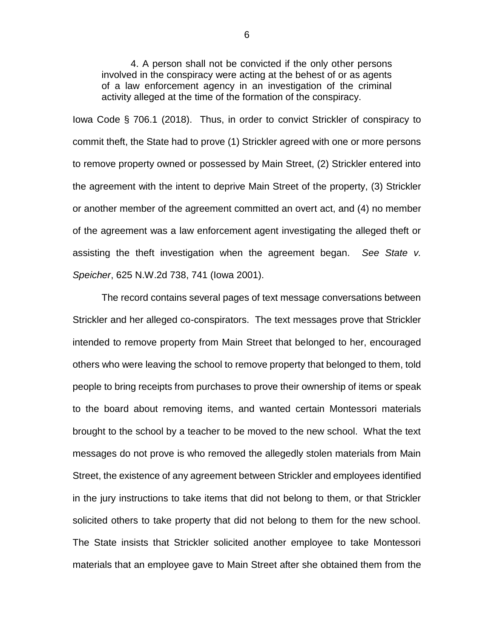4. A person shall not be convicted if the only other persons involved in the conspiracy were acting at the behest of or as agents of a law enforcement agency in an investigation of the criminal activity alleged at the time of the formation of the conspiracy.

Iowa Code § 706.1 (2018). Thus, in order to convict Strickler of conspiracy to commit theft, the State had to prove (1) Strickler agreed with one or more persons to remove property owned or possessed by Main Street, (2) Strickler entered into the agreement with the intent to deprive Main Street of the property, (3) Strickler or another member of the agreement committed an overt act, and (4) no member of the agreement was a law enforcement agent investigating the alleged theft or assisting the theft investigation when the agreement began. *See State v. Speicher*, 625 N.W.2d 738, 741 (Iowa 2001).

The record contains several pages of text message conversations between Strickler and her alleged co-conspirators. The text messages prove that Strickler intended to remove property from Main Street that belonged to her, encouraged others who were leaving the school to remove property that belonged to them, told people to bring receipts from purchases to prove their ownership of items or speak to the board about removing items, and wanted certain Montessori materials brought to the school by a teacher to be moved to the new school. What the text messages do not prove is who removed the allegedly stolen materials from Main Street, the existence of any agreement between Strickler and employees identified in the jury instructions to take items that did not belong to them, or that Strickler solicited others to take property that did not belong to them for the new school. The State insists that Strickler solicited another employee to take Montessori materials that an employee gave to Main Street after she obtained them from the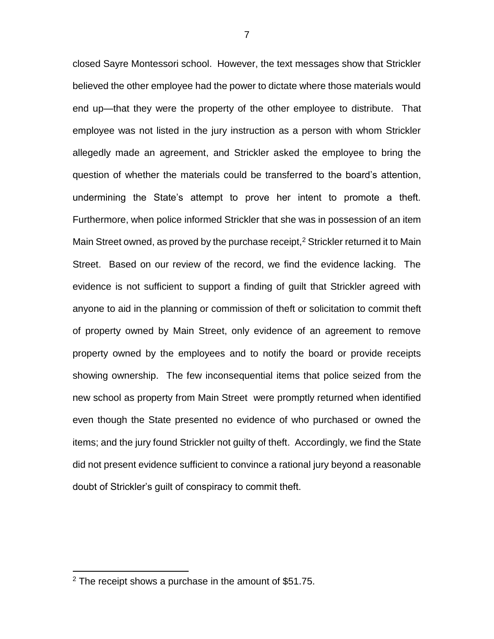closed Sayre Montessori school. However, the text messages show that Strickler believed the other employee had the power to dictate where those materials would end up—that they were the property of the other employee to distribute. That employee was not listed in the jury instruction as a person with whom Strickler allegedly made an agreement, and Strickler asked the employee to bring the question of whether the materials could be transferred to the board's attention, undermining the State's attempt to prove her intent to promote a theft. Furthermore, when police informed Strickler that she was in possession of an item Main Street owned, as proved by the purchase receipt,<sup>2</sup> Strickler returned it to Main Street. Based on our review of the record, we find the evidence lacking. The evidence is not sufficient to support a finding of guilt that Strickler agreed with anyone to aid in the planning or commission of theft or solicitation to commit theft of property owned by Main Street, only evidence of an agreement to remove property owned by the employees and to notify the board or provide receipts showing ownership. The few inconsequential items that police seized from the new school as property from Main Street were promptly returned when identified even though the State presented no evidence of who purchased or owned the items; and the jury found Strickler not guilty of theft. Accordingly, we find the State did not present evidence sufficient to convince a rational jury beyond a reasonable doubt of Strickler's guilt of conspiracy to commit theft.

 $\overline{a}$ 

 $2$  The receipt shows a purchase in the amount of \$51.75.